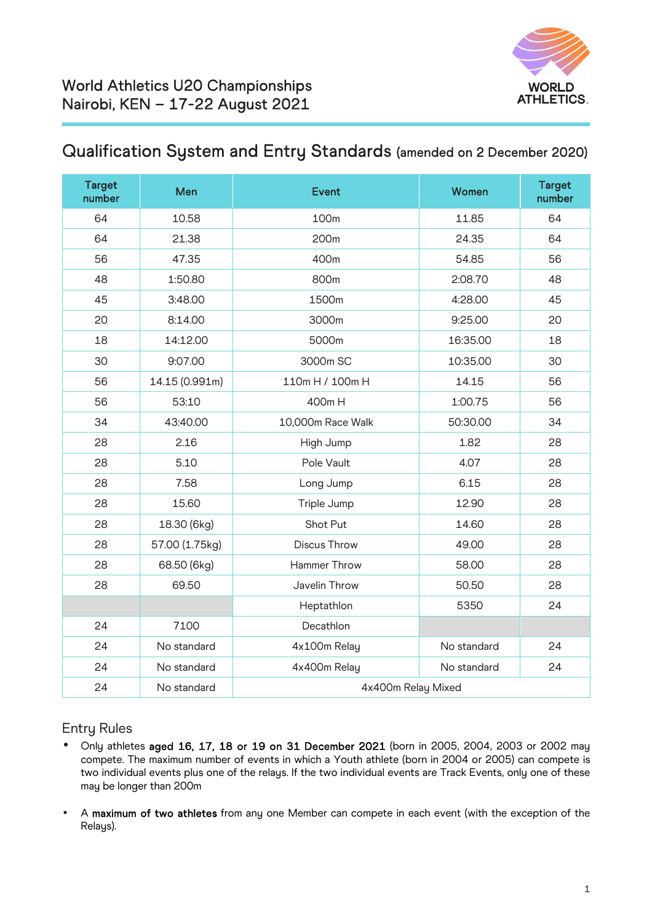

## Qualification System and Entry Standards (amended on 2 December 2020)

| <b>Target</b><br>number | Men            | <b>Event</b>        | <b>Women</b> | <b>Target</b><br>number |
|-------------------------|----------------|---------------------|--------------|-------------------------|
| 64                      | 10.58          | 100m                | 11.85        | 64                      |
| 64                      | 21.38          | 200 <sub>m</sub>    | 24.35        | 64                      |
| 56                      | 47.35          | 400m                | 54.85        | 56                      |
| 48                      | 1:50.80        | 800m                | 2:08.70      | 48                      |
| 45                      | 3:48.00        | 1500m               | 4:28.00      | 45                      |
| 20                      | 8:14.00        | 3000m               | 9:25.00      | 20                      |
| 18                      | 14:12.00       | 5000m               | 16:35.00     | 18                      |
| 30                      | 9:07.00        | 3000m SC            | 10:35.00     | 30                      |
| 56                      | 14.15 (0.991m) | 110m H / 100m H     | 14.15        | 56                      |
| 56                      | 53:10          | 400m H              | 1:00.75      | 56                      |
| 34                      | 43:40.00       | 10,000m Race Walk   | 50:30.00     | 34                      |
| 28                      | 2.16           | High Jump           | 1.82         | 28                      |
| 28                      | 5.10           | Pole Vault          | 4.07         | 28                      |
| 28                      | 7.58           | Long Jump           | 6.15         | 28                      |
| 28                      | 15.60          | Triple Jump         | 12.90        | 28                      |
| 28                      | 18.30 (6kg)    | Shot Put            | 14.60        | 28                      |
| 28                      | 57.00 (1.75kg) | <b>Discus Throw</b> | 49.00        | 28                      |
| 28                      | 68.50 (6kg)    | Hammer Throw        | 58.00        | 28                      |
| 28                      | 69.50          | Javelin Throw       | 50.50        | 28                      |
|                         |                | Heptathlon          | 5350         | 24                      |
| 24                      | 7100           | Decathlon           |              |                         |
| 24                      | No standard    | 4x100m Relay        | No standard  | 24                      |
| 24                      | No standard    | 4x400m Relay        | No standard  | 24                      |
| 24                      | No standard    | 4x400m Relay Mixed  |              |                         |

## Entry Rules

- Only athletes aged 16, 17, 18 or 19 on 31 December 2021 (born in 2005, 2004, 2003 or 2002 may compete. The maximum number of events in which a Youth athlete (born in 2004 or 2005) can compete is two individual events plus one of the relays. If the two individual events are Track Events, only one of these may be longer than 200m
- A maximum of two athletes from any one Member can compete in each event (with the exception of the Relays).